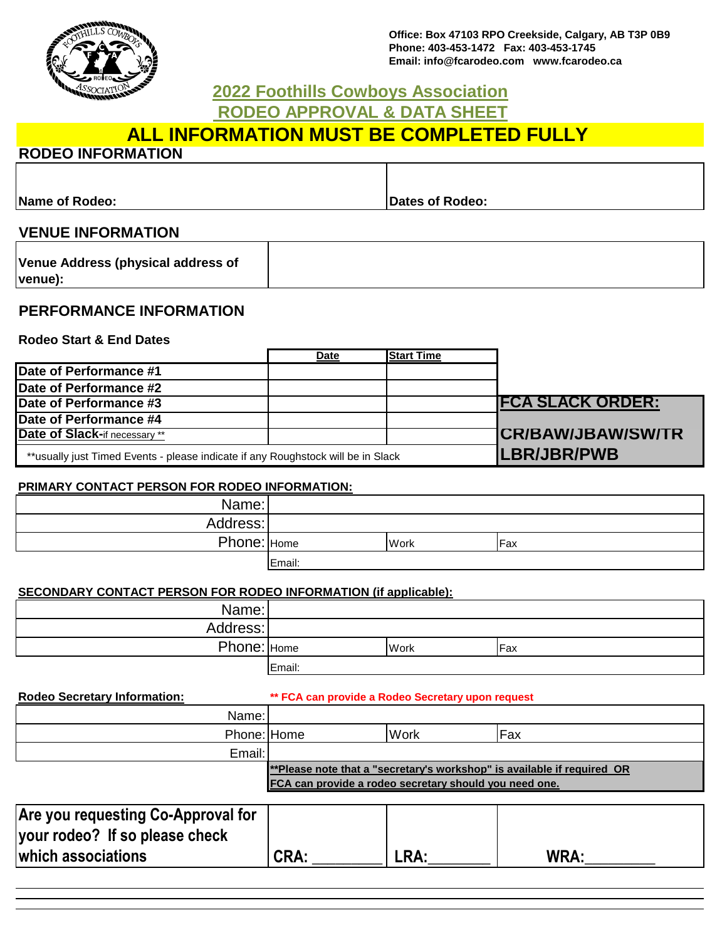

**Office: Box 47103 RPO Creekside, Calgary, AB T3P 0B9 Phone: 403-453-1472 Fax: 403-453-1745 Email: info@fcarodeo.com www.fcarodeo.ca**

# **RODEO APPROVAL & DATA SHEET 2022 Foothills Cowboys Association**

# **ALL INFORMATION MUST BE COMPLETED FULLY**

### **RODEO INFORMATION**

**Name of Rodeo: Dates of Rodeo: Dates of Rodeo: Dates of Rodeo:** 

## **VENUE INFORMATION**

| Venue Address (physical address of |  |
|------------------------------------|--|
| venue):                            |  |

### **PERFORMANCE INFORMATION**

**Rodeo Start & End Dates**

|                                                                                  | Date | <b>Start Time</b> |                           |
|----------------------------------------------------------------------------------|------|-------------------|---------------------------|
| Date of Performance #1                                                           |      |                   |                           |
| <b>Date of Performance #2</b>                                                    |      |                   |                           |
| Date of Performance #3                                                           |      |                   | <b>FCA SLACK ORDER:</b>   |
| Date of Performance #4                                                           |      |                   |                           |
| Date of Slack-if necessary **                                                    |      |                   | <b>ICR/BAW/JBAW/SW/TR</b> |
| **usually just Timed Events - please indicate if any Roughstock will be in Slack |      |                   | <b>LBR/JBR/PWB</b>        |

### **PRIMARY CONTACT PERSON FOR RODEO INFORMATION:**

| Name:       |        |      |      |
|-------------|--------|------|------|
| Address:    |        |      |      |
| Phone: Home |        | Work | IFax |
|             | Email: |      |      |

### **SECONDARY CONTACT PERSON FOR RODEO INFORMATION (if applicable):**

| Name:       |        |      |            |
|-------------|--------|------|------------|
| Address:    |        |      |            |
| Phone: Home |        | Work | <b>Fax</b> |
|             | Email: |      |            |

| <b>Rodeo Secretary Information:</b> | ** FCA can provide a Rodeo Secretary upon request      |      |                                                                         |
|-------------------------------------|--------------------------------------------------------|------|-------------------------------------------------------------------------|
| Name:                               |                                                        |      |                                                                         |
| Phone: Home                         |                                                        | Work | Fax                                                                     |
| Email:                              |                                                        |      |                                                                         |
|                                     | FCA can provide a rodeo secretary should you need one. |      | **Please note that a "secretary's workshop" is available if required OR |

| <b>Are you requesting Co-Approval for</b> |             |      |             |
|-------------------------------------------|-------------|------|-------------|
| your rodeo? If so please check            |             |      |             |
| which associations                        | <b>CRA:</b> | LRA: | <b>WRA:</b> |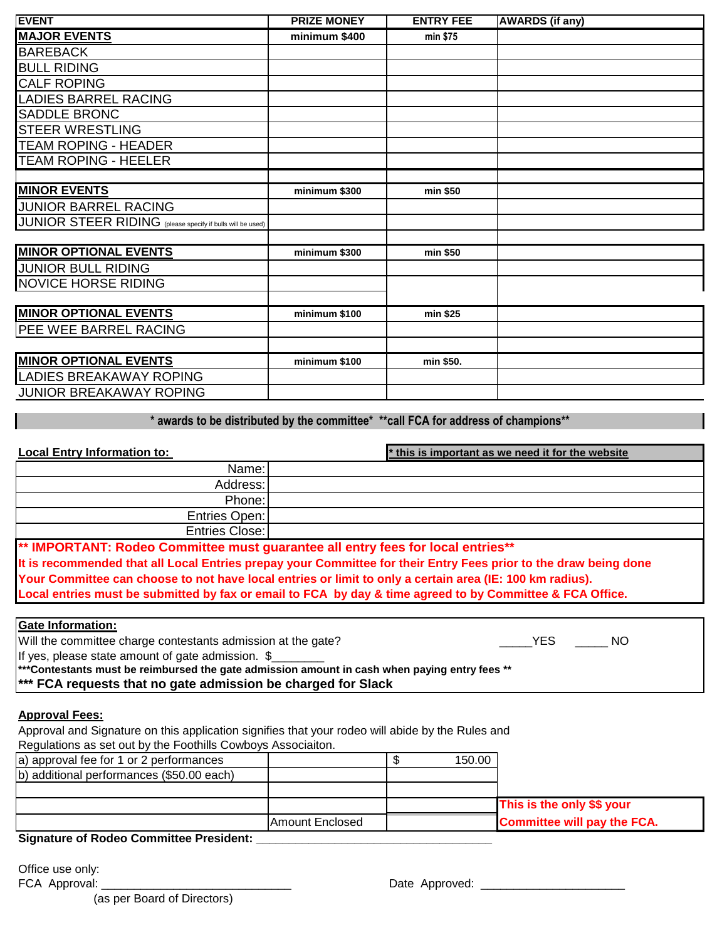| <b>EVENT</b>                                               | <b>PRIZE MONEY</b> | <b>ENTRY FEE</b> | <b>AWARDS</b> (if any) |
|------------------------------------------------------------|--------------------|------------------|------------------------|
| <b>MAJOR EVENTS</b>                                        | minimum \$400      | min \$75         |                        |
| <b>BAREBACK</b>                                            |                    |                  |                        |
| <b>BULL RIDING</b>                                         |                    |                  |                        |
| <b>CALF ROPING</b>                                         |                    |                  |                        |
| <b>LADIES BARREL RACING</b>                                |                    |                  |                        |
| <b>SADDLE BRONC</b>                                        |                    |                  |                        |
| <b>STEER WRESTLING</b>                                     |                    |                  |                        |
| <b>TEAM ROPING - HEADER</b>                                |                    |                  |                        |
| <b>TEAM ROPING - HEELER</b>                                |                    |                  |                        |
|                                                            |                    |                  |                        |
| <b>MINOR EVENTS</b>                                        | minimum \$300      | min \$50         |                        |
| <b>JUNIOR BARREL RACING</b>                                |                    |                  |                        |
| JUNIOR STEER RIDING (please specify if bulls will be used) |                    |                  |                        |
|                                                            |                    |                  |                        |
| <b>MINOR OPTIONAL EVENTS</b>                               | minimum \$300      | min \$50         |                        |
| <b>JUNIOR BULL RIDING</b>                                  |                    |                  |                        |
| <b>NOVICE HORSE RIDING</b>                                 |                    |                  |                        |
|                                                            |                    |                  |                        |
| <b>MINOR OPTIONAL EVENTS</b>                               | minimum \$100      | min \$25         |                        |
| PEE WEE BARREL RACING                                      |                    |                  |                        |
|                                                            |                    |                  |                        |
| <b>MINOR OPTIONAL EVENTS</b>                               | minimum \$100      | min \$50.        |                        |
| <b>LADIES BREAKAWAY ROPING</b>                             |                    |                  |                        |
| <b>JUNIOR BREAKAWAY ROPING</b>                             |                    |                  |                        |

**\* awards to be distributed by the committee\* \*\*call FCA for address of champions\*\***

| <b>Local Entry Information to:</b>                                                                                                                                                                                             | * this is important as we need it for the website |
|--------------------------------------------------------------------------------------------------------------------------------------------------------------------------------------------------------------------------------|---------------------------------------------------|
| Name:                                                                                                                                                                                                                          |                                                   |
| Address:                                                                                                                                                                                                                       |                                                   |
| Phone:                                                                                                                                                                                                                         |                                                   |
| Entries Open:                                                                                                                                                                                                                  |                                                   |
| Entries Close:                                                                                                                                                                                                                 |                                                   |
| AN IRROGANT COMPANY COMPANY COMPANY COMPANY COMPANY COMPANY COMPANY COMPANY COMPANY COMPANY COMPANY COMPANY COMPANY COMPANY COMPANY COMPANY COMPANY COMPANY COMPANY COMPANY COMPANY COMPANY COMPANY COMPANY COMPANY COMPANY CO |                                                   |

**\*\* IMPORTANT: Rodeo Committee must guarantee all entry fees for local entries\*\* It is recommended that all Local Entries prepay your Committee for their Entry Fees prior to the draw being done Your Committee can choose to not have local entries or limit to only a certain area (IE: 100 km radius). Local entries must be submitted by fax or email to FCA by day & time agreed to by Committee & FCA Office.**

| <b>Gate Information:</b>                                                                       |     |     |
|------------------------------------------------------------------------------------------------|-----|-----|
| Will the committee charge contestants admission at the gate?                                   | YES | -NO |
| If yes, please state amount of gate admission. \$                                              |     |     |
| ****Contestants must be reimbursed the gate admission amount in cash when paying entry fees ** |     |     |
| <sup>***</sup> FCA requests that no gate admission be charged for Slack                        |     |     |

#### **Approval Fees:**

Approval and Signature on this application signifies that your rodeo will abide by the Rules and Regulations as set out by the Foothills Cowboys Associaiton.

| a) approval fee for 1 or 2 performances   |                        | 150.00 |                                    |
|-------------------------------------------|------------------------|--------|------------------------------------|
| b) additional performances (\$50.00 each) |                        |        |                                    |
|                                           |                        |        |                                    |
|                                           |                        |        | This is the only \$\$ your         |
|                                           | <b>Amount Enclosed</b> |        | <b>Committee will pay the FCA.</b> |
| Signature of Podeo Committee President:   |                        |        |                                    |

#### **Signature of Rodeo Committee President: \_\_\_\_\_\_\_\_\_\_\_\_\_\_\_\_\_\_\_\_\_\_\_\_\_\_\_\_\_\_\_\_\_\_\_\_**

Office use only:

FCA Approval: \_\_\_\_\_\_\_\_\_\_\_\_\_\_\_\_\_\_\_\_\_\_\_\_\_\_\_\_\_ Date Approved: \_\_\_\_\_\_\_\_\_\_\_\_\_\_\_\_\_\_\_\_\_\_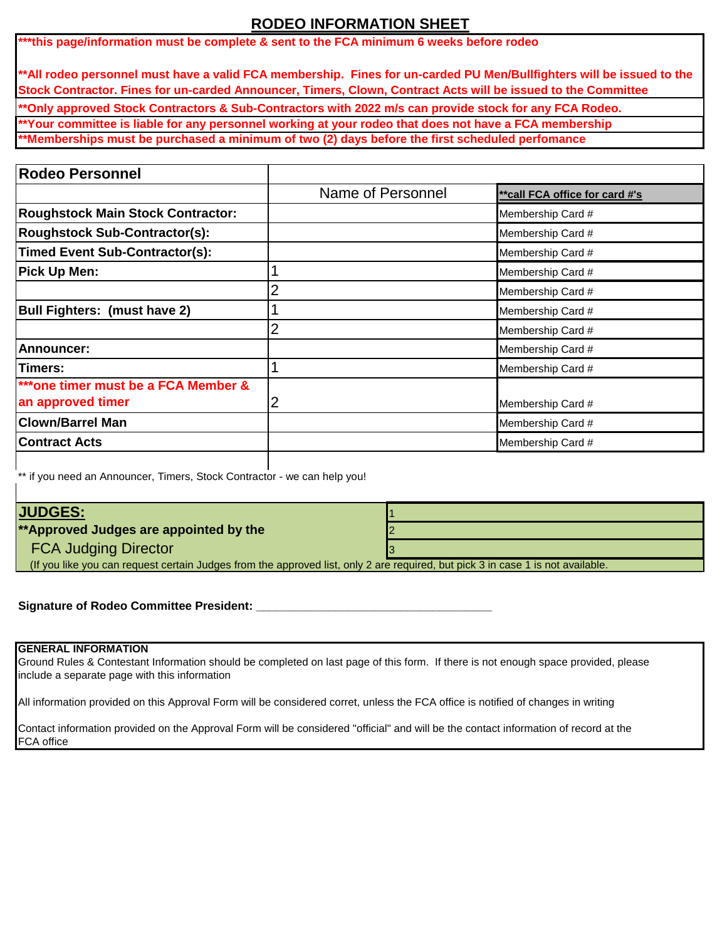# **RODEO INFORMATION SHEET**

**\*\*\*this page/information must be complete & sent to the FCA minimum 6 weeks before rodeo**

**\*\*All rodeo personnel must have a valid FCA membership. Fines for un-carded PU Men/Bullfighters will be issued to the Stock Contractor. Fines for un-carded Announcer, Timers, Clown, Contract Acts will be issued to the Committee**

**\*\*Only approved Stock Contractors & Sub-Contractors with 2022 m/s can provide stock for any FCA Rodeo.**

**\*\*Your committee is liable for any personnel working at your rodeo that does not have a FCA membership**

**\*\*Memberships must be purchased a minimum of two (2) days before the first scheduled perfomance**

| Name of Personnel | ** call FCA office for card #'s |
|-------------------|---------------------------------|
|                   | Membership Card #               |
|                   | Membership Card #               |
|                   | Membership Card #               |
|                   | Membership Card #               |
| 2                 | Membership Card #               |
|                   | Membership Card #               |
| 2                 | Membership Card #               |
|                   | Membership Card #               |
|                   | Membership Card #               |
| 2                 | Membership Card #               |
|                   | Membership Card #               |
|                   | Membership Card #               |
|                   |                                 |

\*\* if you need an Announcer, Timers, Stock Contractor - we can help you!

### **JUDGES:**

**\*\*Approved Judges are appointed by the** 2

FCA Judging Director **3** 

(If you like you can request certain Judges from the approved list, only 2 are required, but pick 3 in case 1 is not available.

**Signature of Rodeo Committee President:** 

#### **GENERAL INFORMATION**

Ground Rules & Contestant Information should be completed on last page of this form. If there is not enough space provided, please include a separate page with this information

All information provided on this Approval Form will be considered corret, unless the FCA office is notified of changes in writing

Contact information provided on the Approval Form will be considered "official" and will be the contact information of record at the FCA office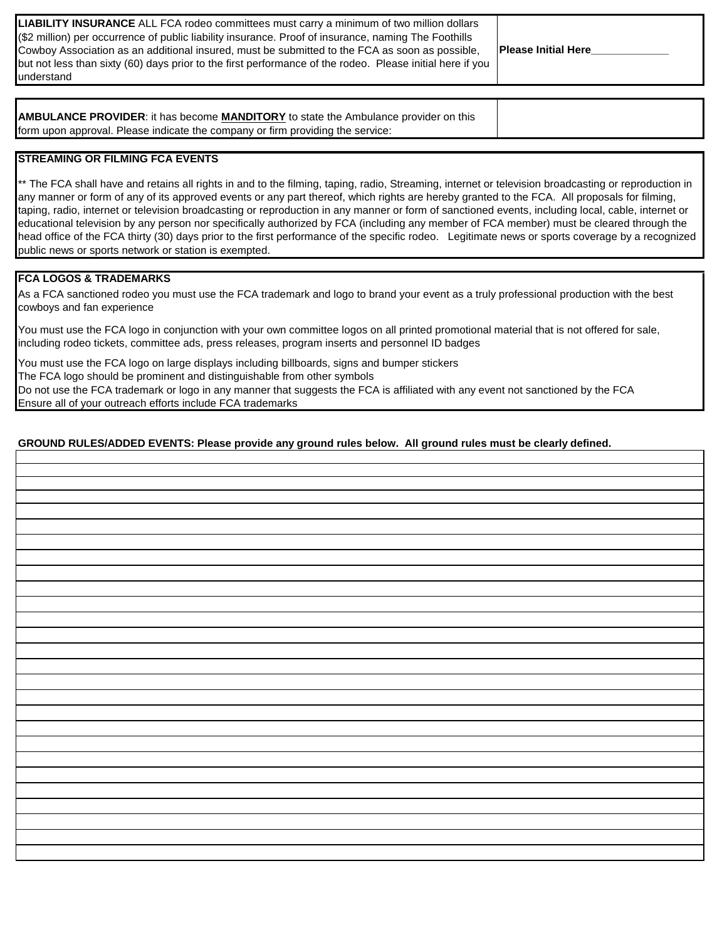| <b>LIABILITY INSURANCE</b> ALL FCA rodeo committees must carry a minimum of two million dollars           |                             |
|-----------------------------------------------------------------------------------------------------------|-----------------------------|
| (\$2 million) per occurrence of public liability insurance. Proof of insurance, naming The Foothills      |                             |
| Cowboy Association as an additional insured, must be submitted to the FCA as soon as possible,            | <b>IPlease Initial Here</b> |
| but not less than sixty (60) days prior to the first performance of the rodeo. Please initial here if you |                             |
| understand                                                                                                |                             |

**AMBULANCE PROVIDER**: it has become **MANDITORY** to state the Ambulance provider on this form upon approval. Please indicate the company or firm providing the service:

#### **STREAMING OR FILMING FCA EVENTS**

\*\* The FCA shall have and retains all rights in and to the filming, taping, radio, Streaming, internet or television broadcasting or reproduction in any manner or form of any of its approved events or any part thereof, which rights are hereby granted to the FCA. All proposals for filming, taping, radio, internet or television broadcasting or reproduction in any manner or form of sanctioned events, including local, cable, internet or educational television by any person nor specifically authorized by FCA (including any member of FCA member) must be cleared through the head office of the FCA thirty (30) days prior to the first performance of the specific rodeo. Legitimate news or sports coverage by a recognized public news or sports network or station is exempted.

#### **FCA LOGOS & TRADEMARKS**

As a FCA sanctioned rodeo you must use the FCA trademark and logo to brand your event as a truly professional production with the best cowboys and fan experience

You must use the FCA logo in conjunction with your own committee logos on all printed promotional material that is not offered for sale, including rodeo tickets, committee ads, press releases, program inserts and personnel ID badges

You must use the FCA logo on large displays including billboards, signs and bumper stickers The FCA logo should be prominent and distinguishable from other symbols Do not use the FCA trademark or logo in any manner that suggests the FCA is affiliated with any event not sanctioned by the FCA Ensure all of your outreach efforts include FCA trademarks

#### **GROUND RULES/ADDED EVENTS: Please provide any ground rules below. All ground rules must be clearly defined.**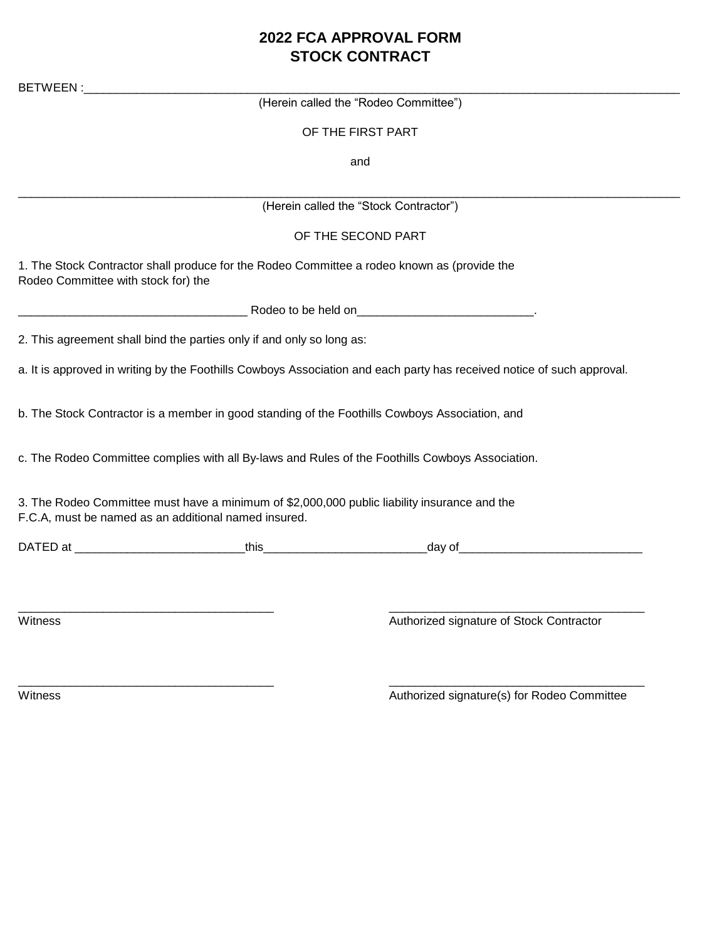# **2022 FCA APPROVAL FORM STOCK CONTRACT**

| BETWEEN:                            |                                                                                                                                                      |                                                                                                                        |
|-------------------------------------|------------------------------------------------------------------------------------------------------------------------------------------------------|------------------------------------------------------------------------------------------------------------------------|
|                                     |                                                                                                                                                      | (Herein called the "Rodeo Committee")                                                                                  |
|                                     |                                                                                                                                                      | OF THE FIRST PART                                                                                                      |
|                                     |                                                                                                                                                      | and                                                                                                                    |
|                                     |                                                                                                                                                      | (Herein called the "Stock Contractor")                                                                                 |
|                                     |                                                                                                                                                      | OF THE SECOND PART                                                                                                     |
| Rodeo Committee with stock for) the | 1. The Stock Contractor shall produce for the Rodeo Committee a rodeo known as (provide the                                                          |                                                                                                                        |
|                                     |                                                                                                                                                      |                                                                                                                        |
|                                     | 2. This agreement shall bind the parties only if and only so long as:                                                                                |                                                                                                                        |
|                                     |                                                                                                                                                      | a. It is approved in writing by the Foothills Cowboys Association and each party has received notice of such approval. |
|                                     |                                                                                                                                                      | b. The Stock Contractor is a member in good standing of the Foothills Cowboys Association, and                         |
|                                     |                                                                                                                                                      | c. The Rodeo Committee complies with all By-laws and Rules of the Foothills Cowboys Association.                       |
|                                     | 3. The Rodeo Committee must have a minimum of \$2,000,000 public liability insurance and the<br>F.C.A, must be named as an additional named insured. |                                                                                                                        |
|                                     |                                                                                                                                                      |                                                                                                                        |
|                                     |                                                                                                                                                      |                                                                                                                        |
| Witness                             |                                                                                                                                                      | Authorized signature of Stock Contractor                                                                               |
|                                     |                                                                                                                                                      |                                                                                                                        |

\_\_\_\_\_\_\_\_\_\_\_\_\_\_\_\_\_\_\_\_\_\_\_\_\_\_\_\_\_\_\_\_\_\_\_\_\_\_\_ \_\_\_\_\_\_\_\_\_\_\_\_\_\_\_\_\_\_\_\_\_\_\_\_\_\_\_\_\_\_\_\_\_\_\_\_\_\_\_

Witness **Authorized signature(s)** for Rodeo Committee